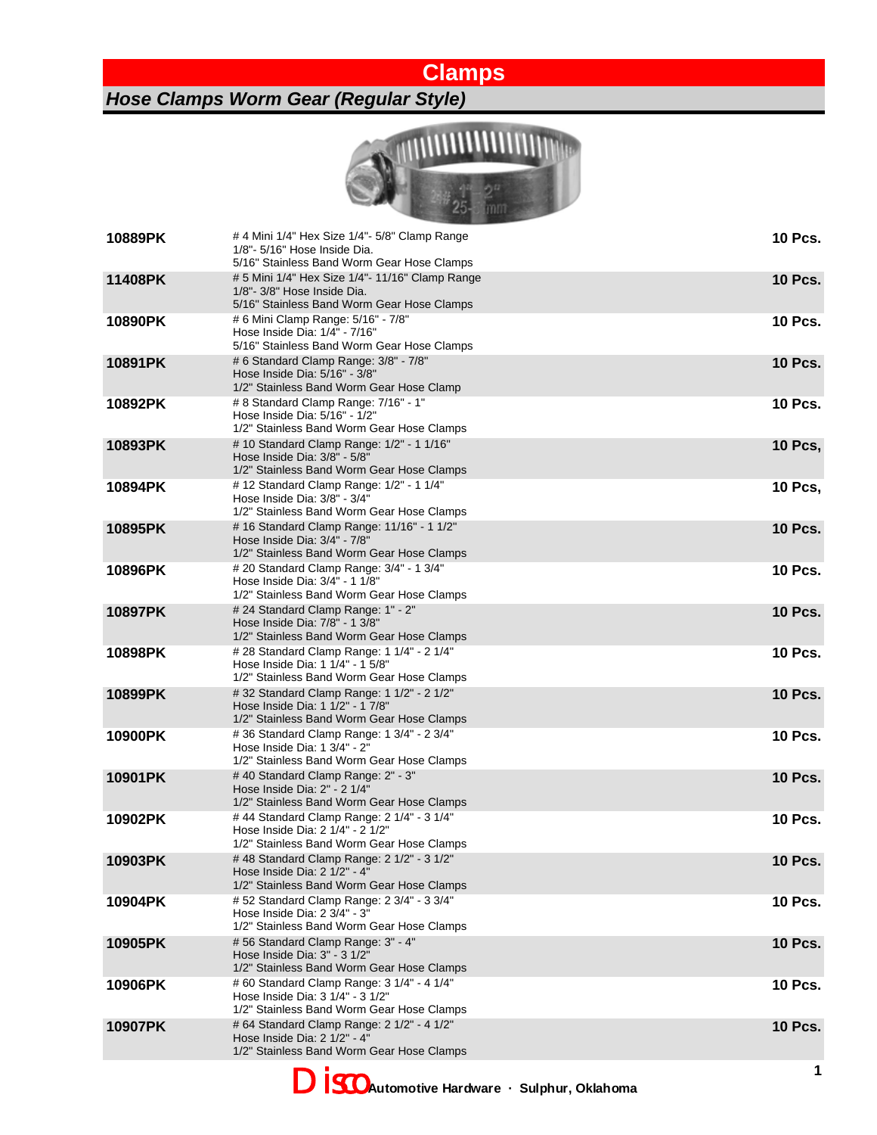## **Clamps**

*Hose Clamps Worm Gear (Regular Style)*



| 10889PK | # 4 Mini 1/4" Hex Size 1/4"- 5/8" Clamp Range<br>1/8"- 5/16" Hose Inside Dia.<br>5/16" Stainless Band Worm Gear Hose Clamps  | <b>10 Pcs.</b> |
|---------|------------------------------------------------------------------------------------------------------------------------------|----------------|
| 11408PK | # 5 Mini 1/4" Hex Size 1/4"- 11/16" Clamp Range<br>1/8"- 3/8" Hose Inside Dia.<br>5/16" Stainless Band Worm Gear Hose Clamps | <b>10 Pcs.</b> |
| 10890PK | # 6 Mini Clamp Range: 5/16" - 7/8"<br>Hose Inside Dia: 1/4" - 7/16"<br>5/16" Stainless Band Worm Gear Hose Clamps            | <b>10 Pcs.</b> |
| 10891PK | # 6 Standard Clamp Range: 3/8" - 7/8"<br>Hose Inside Dia: 5/16" - 3/8"<br>1/2" Stainless Band Worm Gear Hose Clamp           | <b>10 Pcs.</b> |
| 10892PK | # 8 Standard Clamp Range: 7/16" - 1"<br>Hose Inside Dia: 5/16" - 1/2"<br>1/2" Stainless Band Worm Gear Hose Clamps           | <b>10 Pcs.</b> |
| 10893PK | # 10 Standard Clamp Range: 1/2" - 1 1/16"<br>Hose Inside Dia: 3/8" - 5/8"<br>1/2" Stainless Band Worm Gear Hose Clamps       | <b>10 Pcs,</b> |
| 10894PK | # 12 Standard Clamp Range: 1/2" - 1 1/4"<br>Hose Inside Dia: 3/8" - 3/4"<br>1/2" Stainless Band Worm Gear Hose Clamps        | <b>10 Pcs,</b> |
| 10895PK | # 16 Standard Clamp Range: 11/16" - 1 1/2"<br>Hose Inside Dia: 3/4" - 7/8"<br>1/2" Stainless Band Worm Gear Hose Clamps      | <b>10 Pcs.</b> |
| 10896PK | # 20 Standard Clamp Range: 3/4" - 1 3/4"<br>Hose Inside Dia: 3/4" - 1 1/8"<br>1/2" Stainless Band Worm Gear Hose Clamps      | <b>10 Pcs.</b> |
| 10897PK | # 24 Standard Clamp Range: 1" - 2"<br>Hose Inside Dia: 7/8" - 1 3/8"<br>1/2" Stainless Band Worm Gear Hose Clamps            | <b>10 Pcs.</b> |
| 10898PK | # 28 Standard Clamp Range: 1 1/4" - 2 1/4"<br>Hose Inside Dia: 1 1/4" - 1 5/8"<br>1/2" Stainless Band Worm Gear Hose Clamps  | <b>10 Pcs.</b> |
| 10899PK | # 32 Standard Clamp Range: 1 1/2" - 2 1/2"<br>Hose Inside Dia: 1 1/2" - 1 7/8"<br>1/2" Stainless Band Worm Gear Hose Clamps  | <b>10 Pcs.</b> |
| 10900PK | # 36 Standard Clamp Range: 1 3/4" - 2 3/4"<br>Hose Inside Dia: 1 3/4" - 2"<br>1/2" Stainless Band Worm Gear Hose Clamps      | <b>10 Pcs.</b> |
| 10901PK | #40 Standard Clamp Range: 2" - 3"<br>Hose Inside Dia: 2" - 2 1/4"<br>1/2" Stainless Band Worm Gear Hose Clamps               | <b>10 Pcs.</b> |
| 10902PK | #44 Standard Clamp Range: 2 1/4" - 3 1/4"<br>Hose Inside Dia: 2 1/4" - 2 1/2"<br>1/2" Stainless Band Worm Gear Hose Clamps   | <b>10 Pcs.</b> |
| 10903PK | #48 Standard Clamp Range: 2 1/2" - 3 1/2"<br>Hose Inside Dia: 2 1/2" - 4<br>1/2" Stainless Band Worm Gear Hose Clamps        | <b>10 Pcs.</b> |
| 10904PK | # 52 Standard Clamp Range: 2 3/4" - 3 3/4"<br>Hose Inside Dia: 2 3/4" - 3"<br>1/2" Stainless Band Worm Gear Hose Clamps      | <b>10 Pcs.</b> |
| 10905PK | # 56 Standard Clamp Range: 3" - 4"<br>Hose Inside Dia: 3" - 3 1/2"<br>1/2" Stainless Band Worm Gear Hose Clamps              | <b>10 Pcs.</b> |
| 10906PK | # 60 Standard Clamp Range: 3 1/4" - 4 1/4"<br>Hose Inside Dia: 3 1/4" - 3 1/2"<br>1/2" Stainless Band Worm Gear Hose Clamps  | <b>10 Pcs.</b> |
| 10907PK | # 64 Standard Clamp Range: 2 1/2" - 4 1/2"<br>Hose Inside Dia: 2 1/2" - 4"<br>1/2" Stainless Band Worm Gear Hose Clamps      | <b>10 Pcs.</b> |